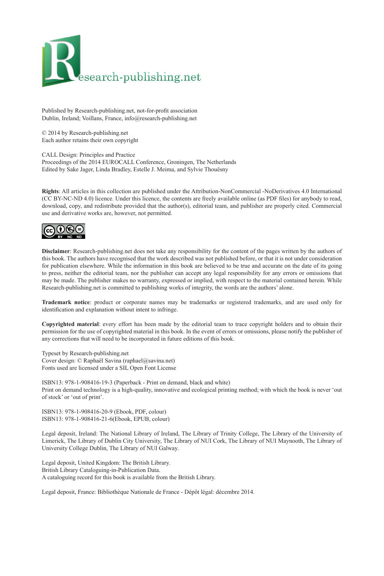

Published by Research-publishing.net, not-for-profit association Dublin, Ireland; Voillans, France, info@research-publishing.net

© 2014 by Research-publishing.net Each author retains their own copyright

CALL Design: Principles and Practice Proceedings of the 2014 EUROCALL Conference, Groningen, The Netherlands Edited by Sake Jager, Linda Bradley, Estelle J. Meima, and Sylvie Thouësny

**Rights**: All articles in this collection are published under the Attribution-NonCommercial -NoDerivatives 4.0 International (CC BY-NC-ND 4.0) licence. Under this licence, the contents are freely available online (as PDF files) for anybody to read, download, copy, and redistribute provided that the author(s), editorial team, and publisher are properly cited. Commercial use and derivative works are, however, not permitted.



**Disclaimer**: Research-publishing.net does not take any responsibility for the content of the pages written by the authors of this book. The authors have recognised that the work described was not published before, or that it is not under consideration for publication elsewhere. While the information in this book are believed to be true and accurate on the date of its going to press, neither the editorial team, nor the publisher can accept any legal responsibility for any errors or omissions that may be made. The publisher makes no warranty, expressed or implied, with respect to the material contained herein. While Research-publishing.net is committed to publishing works of integrity, the words are the authors' alone.

**Trademark notice**: product or corporate names may be trademarks or registered trademarks, and are used only for identification and explanation without intent to infringe.

**Copyrighted material**: every effort has been made by the editorial team to trace copyright holders and to obtain their permission for the use of copyrighted material in this book. In the event of errors or omissions, please notify the publisher of any corrections that will need to be incorporated in future editions of this book.

Typeset by Research-publishing.net Cover design: © Raphaël Savina (raphael@savina.net) Fonts used are licensed under a SIL Open Font License

ISBN13: 978-1-908416-19-3 (Paperback - Print on demand, black and white) Print on demand technology is a high-quality, innovative and ecological printing method; with which the book is never 'out of stock' or 'out of print'.

ISBN13: 978-1-908416-20-9 (Ebook, PDF, colour) ISBN13: 978-1-908416-21-6(Ebook, EPUB, colour)

Legal deposit, Ireland: The National Library of Ireland, The Library of Trinity College, The Library of the University of Limerick, The Library of Dublin City University, The Library of NUI Cork, The Library of NUI Maynooth, The Library of University College Dublin, The Library of NUI Galway.

Legal deposit, United Kingdom: The British Library. British Library Cataloguing-in-Publication Data. A cataloguing record for this book is available from the British Library.

Legal deposit, France: Bibliothèque Nationale de France - Dépôt légal: décembre 2014.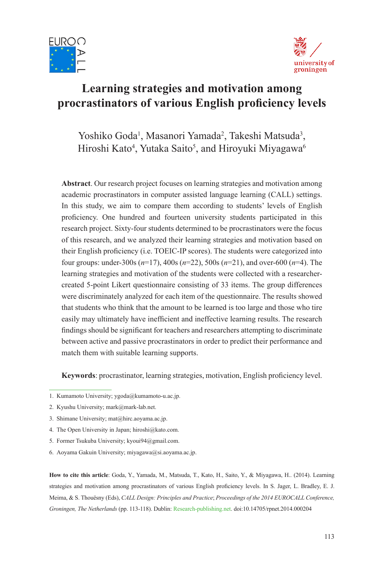



# **Learning strategies and motivation among procrastinators of various English proficiency levels**

Yoshiko Goda<sup>1</sup>, Masanori Yamada<sup>2</sup>, Takeshi Matsuda<sup>3</sup>, Hiroshi Kato<sup>4</sup>, Yutaka Saito<sup>5</sup>, and Hiroyuki Miyagawa<sup>6</sup>

**Abstract**. Our research project focuses on learning strategies and motivation among academic procrastinators in computer assisted language learning (CALL) settings. In this study, we aim to compare them according to students' levels of English proficiency. One hundred and fourteen university students participated in this research project. Sixty-four students determined to be procrastinators were the focus of this research, and we analyzed their learning strategies and motivation based on their English proficiency (i.e. TOEIC-IP scores). The students were categorized into four groups: under-300s (*n*=17), 400s (*n*=22), 500s (*n*=21), and over-600 (*n*=4). The learning strategies and motivation of the students were collected with a researchercreated 5-point Likert questionnaire consisting of 33 items. The group differences were discriminately analyzed for each item of the questionnaire. The results showed that students who think that the amount to be learned is too large and those who tire easily may ultimately have inefficient and ineffective learning results. The research findings should be significant for teachers and researchers attempting to discriminate between active and passive procrastinators in order to predict their performance and match them with suitable learning supports.

**Keywords**: procrastinator, learning strategies, motivation, English proficiency level.

**How to cite this article**: Goda, Y., Yamada, M., Matsuda, T., Kato, H., Saito, Y., & Miyagawa, H.. (2014). Learning strategies and motivation among procrastinators of various English proficiency levels. In S. Jager, L. Bradley, E. J. Meima, & S. Thouësny (Eds), *CALL Design: Principles and Practice*; *Proceedings of the 2014 EUROCALL Conference, Groningen, The Netherlands* (pp. 113-118). Dublin: [Research-publishing.net.](http://research-publishing.net/) doi:10.14705/rpnet.2014.000204

<sup>1.</sup> Kumamoto University; ygoda@kumamoto-u.ac.jp.

<sup>2.</sup> Kyushu University; mark@mark-lab.net.

<sup>3.</sup> Shimane University; mat@hirc.aoyama.ac.jp.

<sup>4.</sup> The Open University in Japan; hiroshi@kato.com.

<sup>5.</sup> Former Tsukuba University; kyoui94@gmail.com.

<sup>6.</sup> Aoyama Gakuin University; miyagawa@si.aoyama.ac.jp.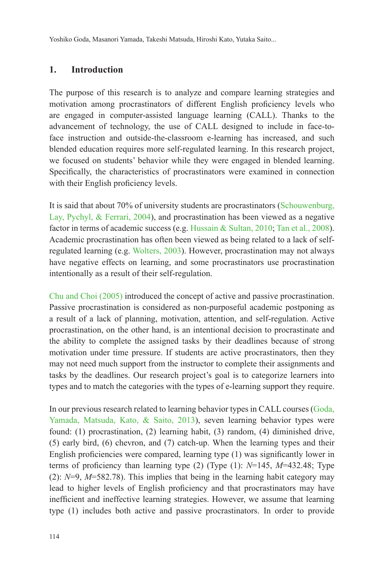Yoshiko Goda, Masanori Yamada, Takeshi Matsuda, Hiroshi Kato, Yutaka Saito...

### **1. Introduction**

The purpose of this research is to analyze and compare learning strategies and motivation among procrastinators of different English proficiency levels who are engaged in computer-assisted language learning (CALL). Thanks to the advancement of technology, the use of CALL designed to include in face-toface instruction and outside-the-classroom e-learning has increased, and such blended education requires more self-regulated learning. In this research project, we focused on students' behavior while they were engaged in blended learning. Specifically, the characteristics of procrastinators were examined in connection with their English proficiency levels.

It is said that about 70% of university students are procrastinators ([Schouwenburg,](#page-6-0) [Lay, Pychyl, & Ferrari, 2004](#page-6-0)), and procrastination has been viewed as a negative factor in terms of academic success (e.g. [Hussain & Sultan, 2010;](#page-6-1) [Tan et al., 2008](#page-6-2)). Academic procrastination has often been viewed as being related to a lack of selfregulated learning (e.g. [Wolters, 2003\)](#page-6-3). However, procrastination may not always have negative effects on learning, and some procrastinators use procrastination intentionally as a result of their self-regulation.

[Chu and Choi \(2005\)](#page-6-4) introduced the concept of active and passive procrastination. Passive procrastination is considered as non-purposeful academic postponing as a result of a lack of planning, motivation, attention, and self-regulation. Active procrastination, on the other hand, is an intentional decision to procrastinate and the ability to complete the assigned tasks by their deadlines because of strong motivation under time pressure. If students are active procrastinators, then they may not need much support from the instructor to complete their assignments and tasks by the deadlines. Our research project's goal is to categorize learners into types and to match the categories with the types of e-learning support they require.

In our previous research related to learning behavior types in CALL courses [\(Goda,](#page-6-5) [Yamada, Matsuda, Kato, & Saito, 2013\)](#page-6-5), seven learning behavior types were found: (1) procrastination, (2) learning habit, (3) random, (4) diminished drive, (5) early bird, (6) chevron, and (7) catch-up. When the learning types and their English proficiencies were compared, learning type (1) was significantly lower in terms of proficiency than learning type (2) (Type (1): *N*=145, *M*=432.48; Type (2): *N*=9, *M*=582.78). This implies that being in the learning habit category may lead to higher levels of English proficiency and that procrastinators may have inefficient and ineffective learning strategies. However, we assume that learning type (1) includes both active and passive procrastinators. In order to provide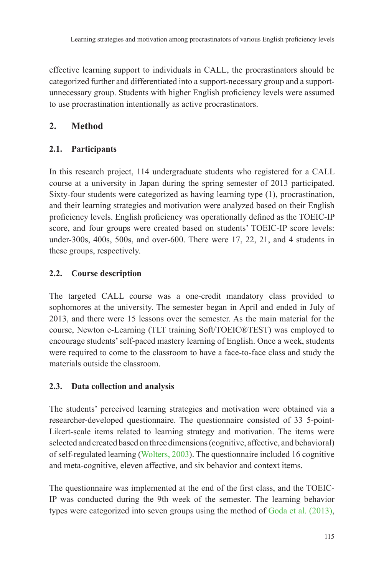effective learning support to individuals in CALL, the procrastinators should be categorized further and differentiated into a support-necessary group and a supportunnecessary group. Students with higher English proficiency levels were assumed to use procrastination intentionally as active procrastinators.

# **2. Method**

# **2.1. Participants**

In this research project, 114 undergraduate students who registered for a CALL course at a university in Japan during the spring semester of 2013 participated. Sixty-four students were categorized as having learning type (1), procrastination, and their learning strategies and motivation were analyzed based on their English proficiency levels. English proficiency was operationally defined as the TOEIC-IP score, and four groups were created based on students' TOEIC-IP score levels: under-300s, 400s, 500s, and over-600. There were 17, 22, 21, and 4 students in these groups, respectively.

# **2.2. Course description**

The targeted CALL course was a one-credit mandatory class provided to sophomores at the university. The semester began in April and ended in July of 2013, and there were 15 lessons over the semester. As the main material for the course, Newton e-Learning (TLT training Soft/TOEIC®TEST) was employed to encourage students' self-paced mastery learning of English. Once a week, students were required to come to the classroom to have a face-to-face class and study the materials outside the classroom.

# **2.3. Data collection and analysis**

The students' perceived learning strategies and motivation were obtained via a researcher-developed questionnaire. The questionnaire consisted of 33 5-point-Likert-scale items related to learning strategy and motivation. The items were selected and created based on three dimensions (cognitive, affective, and behavioral) of self-regulated learning [\(Wolters, 2003\)](#page-6-3). The questionnaire included 16 cognitive and meta-cognitive, eleven affective, and six behavior and context items.

The questionnaire was implemented at the end of the first class, and the TOEIC-IP was conducted during the 9th week of the semester. The learning behavior types were categorized into seven groups using the method of [Goda et al. \(2013\),](#page-6-5)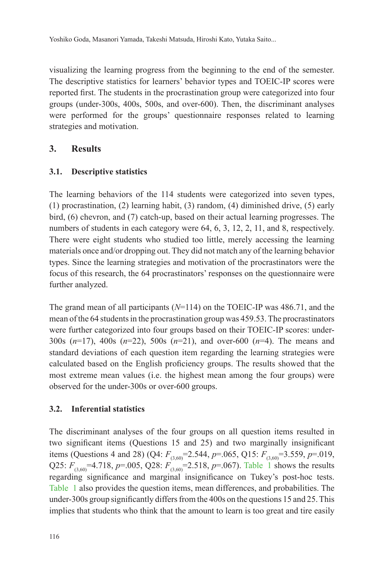Yoshiko Goda, Masanori Yamada, Takeshi Matsuda, Hiroshi Kato, Yutaka Saito...

visualizing the learning progress from the beginning to the end of the semester. The descriptive statistics for learners' behavior types and TOEIC-IP scores were reported first. The students in the procrastination group were categorized into four groups (under-300s, 400s, 500s, and over-600). Then, the discriminant analyses were performed for the groups' questionnaire responses related to learning strategies and motivation.

# **3. Results**

# **3.1. Descriptive statistics**

The learning behaviors of the 114 students were categorized into seven types, (1) procrastination, (2) learning habit, (3) random, (4) diminished drive, (5) early bird, (6) chevron, and (7) catch-up, based on their actual learning progresses. The numbers of students in each category were 64, 6, 3, 12, 2, 11, and 8, respectively. There were eight students who studied too little, merely accessing the learning materials once and/or dropping out. They did not match any of the learning behavior types. Since the learning strategies and motivation of the procrastinators were the focus of this research, the 64 procrastinators' responses on the questionnaire were further analyzed.

The grand mean of all participants (*N*=114) on the TOEIC-IP was 486.71, and the mean of the 64 students in the procrastination group was 459.53. The procrastinators were further categorized into four groups based on their TOEIC-IP scores: under-300s (*n*=17), 400s (*n*=22), 500s (*n*=21), and over-600 (*n*=4). The means and standard deviations of each question item regarding the learning strategies were calculated based on the English proficiency groups. The results showed that the most extreme mean values (i.e. the highest mean among the four groups) were observed for the under-300s or over-600 groups.

# **3.2. Inferential statistics**

The discriminant analyses of the four groups on all question items resulted in two significant items (Questions 15 and 25) and two marginally insignificant items (Questions 4 and 28) (Q4:  $F_{(3,60)} = 2.544$ ,  $p = .065$ , Q15:  $F_{(3,60)} = 3.559$ ,  $p = .019$ , Q25:  $F_{(3,60)}$ =4.718, *p*=.005, Q28:  $F_{(3,60)}$ =2.518, *p*=.067). [Table](#page-5-0) 1 shows the results regarding significance and marginal insignificance on Tukey's post-hoc tests. [Table](#page-5-0) 1 also provides the question items, mean differences, and probabilities. The under-300s group significantly differs from the 400s on the questions 15 and 25. This implies that students who think that the amount to learn is too great and tire easily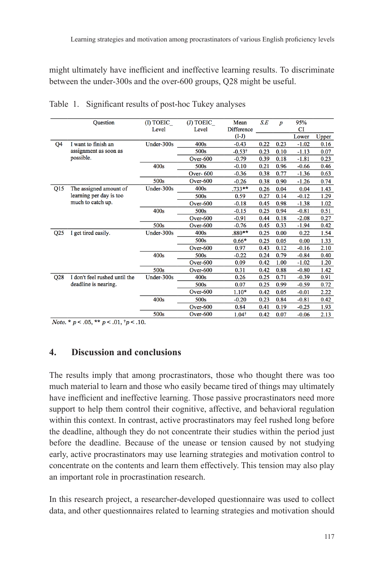might ultimately have inefficient and ineffective learning results. To discriminate between the under-300s and the over-600 groups, Q28 might be useful.

|                 | Question                      | (I) TOEIC  | (J) TOEIC       | Mean              | S.E  | $\boldsymbol{p}$ | 95%         |       |
|-----------------|-------------------------------|------------|-----------------|-------------------|------|------------------|-------------|-------|
|                 |                               | Level      | Level           | <b>Difference</b> |      |                  | $_{\rm CI}$ |       |
|                 |                               |            |                 | $(I-J)$           |      |                  | Lower       | Upper |
| Q4              | I want to finish an           | Under-300s | 400s            | $-0.43$           | 0.22 | 0.23             | $-1.02$     | 0.16  |
|                 | assignment as soon as         |            | 500s            | $-0.53^{\dagger}$ | 0.23 | 0.10             | $-1.13$     | 0.07  |
|                 | possible.                     |            | Over- $600$     | $-0.79$           | 0.39 | 0.18             | $-1.81$     | 0.23  |
|                 |                               | 400s       | 500s            | $-0.10$           | 0.21 | 0.96             | $-0.66$     | 0.46  |
|                 |                               |            | <b>Over-600</b> | $-0.36$           | 0.38 | 0.77             | $-1.36$     | 0.63  |
|                 |                               | 500s       | Over- $600$     | $-0.26$           | 0.38 | 0.90             | $-1.26$     | 0.74  |
| Q15             | The assigned amount of        | Under-300s | 400s            | $.733**$          | 0.26 | 0.04             | 0.04        | 1.43  |
|                 | learning per day is too       |            | 500s            | 0.59              | 0.27 | 0.14             | $-0.12$     | 1.29  |
|                 | much to catch up.             |            | Over- $600$     | $-0.18$           | 0.45 | 0.98             | $-1.38$     | 1.02  |
|                 |                               | 400s       | 500s            | $-0.15$           | 0.25 | 0.94             | $-0.81$     | 0.51  |
|                 |                               |            | Over- $600$     | $-0.91$           | 0.44 | 0.18             | $-2.08$     | 0.27  |
|                 |                               | 500s       | Over- $600$     | $-0.76$           | 0.45 | 0.33             | $-1.94$     | 0.42  |
| Q <sub>25</sub> | I get tired easily.           | Under-300s | 400s            | $.880**$          | 0.25 | 0.00             | 0.22        | 1.54  |
|                 |                               |            | 500s            | $0.66*$           | 0.25 | 0.05             | 0.00        | 1.33  |
|                 |                               |            | Over- $600$     | 0.97              | 0.43 | 0.12             | $-0.16$     | 2.10  |
|                 |                               | 400s       | 500s            | $-0.22$           | 0.24 | 0.79             | $-0.84$     | 0.40  |
|                 |                               |            | $Over-600$      | 0.09              | 0.42 | 1.00             | $-1.02$     | 1.20  |
|                 |                               | 500s       | Over- $600$     | 0.31              | 0.42 | 0.88             | $-0.80$     | 1.42  |
| Q28             | I don't feel rushed until the | Under-300s | 400s            | 0.26              | 0.25 | 0.71             | $-0.39$     | 0.91  |
|                 | deadline is nearing.          |            | 500s            | 0.07              | 0.25 | 0.99             | $-0.59$     | 0.72  |
|                 |                               |            | Over- $600$     | $1.10*$           | 0.42 | 0.05             | $-0.01$     | 2.22  |
|                 |                               | 400s       | 500s            | $-0.20$           | 0.23 | 0.84             | $-0.81$     | 0.42  |
|                 |                               |            | Over- $600$     | 0.84              | 0.41 | 0.19             | $-0.25$     | 1.93  |
|                 |                               | 500s       | Over- $600$     | $1.04^{\dagger}$  | 0.42 | 0.07             | $-0.06$     | 2.13  |

<span id="page-5-0"></span>

|  |  | Table 1. Significant results of post-hoc Tukey analyses |  |  |  |  |
|--|--|---------------------------------------------------------|--|--|--|--|
|--|--|---------------------------------------------------------|--|--|--|--|

*Note.* \*  $p < .05$ , \*\*  $p < .01$ ,  $\dagger p < .10$ .

#### **4. Discussion and conclusions**

The results imply that among procrastinators, those who thought there was too much material to learn and those who easily became tired of things may ultimately have inefficient and ineffective learning. Those passive procrastinators need more support to help them control their cognitive, affective, and behavioral regulation within this context. In contrast, active procrastinators may feel rushed long before the deadline, although they do not concentrate their studies within the period just before the deadline. Because of the unease or tension caused by not studying early, active procrastinators may use learning strategies and motivation control to concentrate on the contents and learn them effectively. This tension may also play an important role in procrastination research.

In this research project, a researcher-developed questionnaire was used to collect data, and other questionnaires related to learning strategies and motivation should